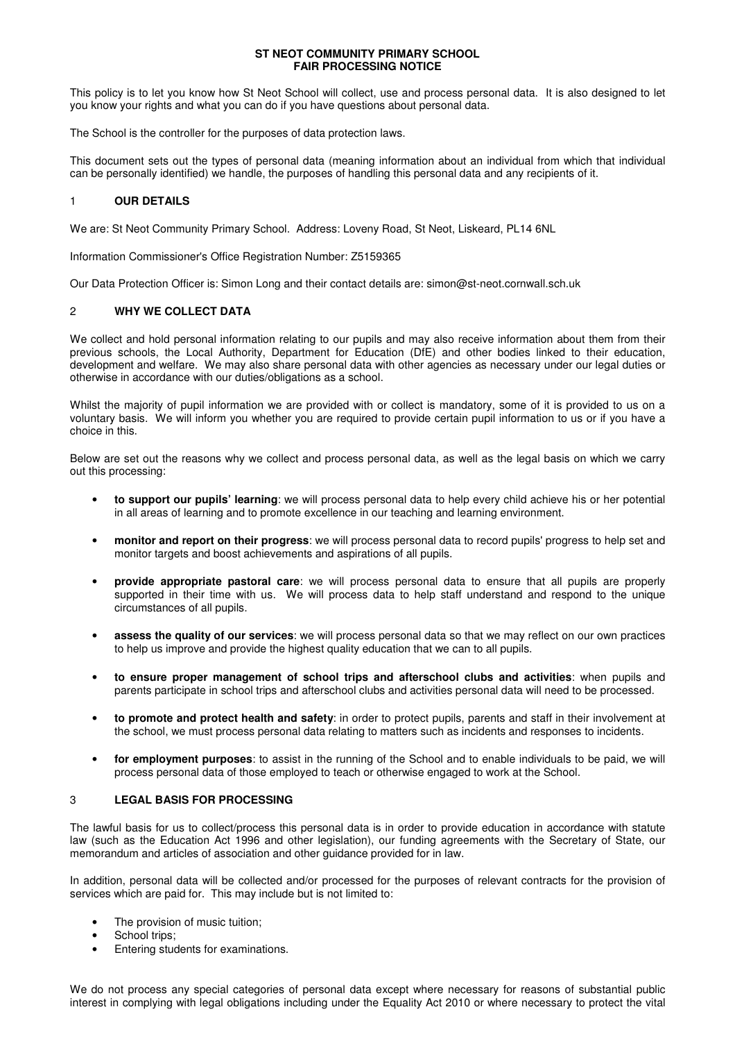#### **ST NEOT COMMUNITY PRIMARY SCHOOL FAIR PROCESSING NOTICE**

This policy is to let you know how St Neot School will collect, use and process personal data. It is also designed to let you know your rights and what you can do if you have questions about personal data.

The School is the controller for the purposes of data protection laws.

This document sets out the types of personal data (meaning information about an individual from which that individual can be personally identified) we handle, the purposes of handling this personal data and any recipients of it.

# 1 **OUR DETAILS**

We are: St Neot Community Primary School. Address: Loveny Road, St Neot, Liskeard, PL14 6NL

Information Commissioner's Office Registration Number: Z5159365

Our Data Protection Officer is: Simon Long and their contact details are: simon@st-neot.cornwall.sch.uk

### 2 **WHY WE COLLECT DATA**

We collect and hold personal information relating to our pupils and may also receive information about them from their previous schools, the Local Authority, Department for Education (DfE) and other bodies linked to their education, development and welfare. We may also share personal data with other agencies as necessary under our legal duties or otherwise in accordance with our duties/obligations as a school.

Whilst the majority of pupil information we are provided with or collect is mandatory, some of it is provided to us on a voluntary basis. We will inform you whether you are required to provide certain pupil information to us or if you have a choice in this.

Below are set out the reasons why we collect and process personal data, as well as the legal basis on which we carry out this processing:

- **to support our pupils' learning**: we will process personal data to help every child achieve his or her potential in all areas of learning and to promote excellence in our teaching and learning environment.
- **monitor and report on their progress**: we will process personal data to record pupils' progress to help set and monitor targets and boost achievements and aspirations of all pupils.
- **provide appropriate pastoral care**: we will process personal data to ensure that all pupils are properly supported in their time with us. We will process data to help staff understand and respond to the unique circumstances of all pupils.
- **assess the quality of our services**: we will process personal data so that we may reflect on our own practices to help us improve and provide the highest quality education that we can to all pupils.
- **to ensure proper management of school trips and afterschool clubs and activities**: when pupils and parents participate in school trips and afterschool clubs and activities personal data will need to be processed.
- **to promote and protect health and safety**: in order to protect pupils, parents and staff in their involvement at the school, we must process personal data relating to matters such as incidents and responses to incidents.
- **for employment purposes**: to assist in the running of the School and to enable individuals to be paid, we will process personal data of those employed to teach or otherwise engaged to work at the School.

# 3 **LEGAL BASIS FOR PROCESSING**

The lawful basis for us to collect/process this personal data is in order to provide education in accordance with statute law (such as the Education Act 1996 and other legislation), our funding agreements with the Secretary of State, our memorandum and articles of association and other guidance provided for in law.

In addition, personal data will be collected and/or processed for the purposes of relevant contracts for the provision of services which are paid for. This may include but is not limited to:

- The provision of music tuition;
- School trips;
- Entering students for examinations.

We do not process any special categories of personal data except where necessary for reasons of substantial public interest in complying with legal obligations including under the Equality Act 2010 or where necessary to protect the vital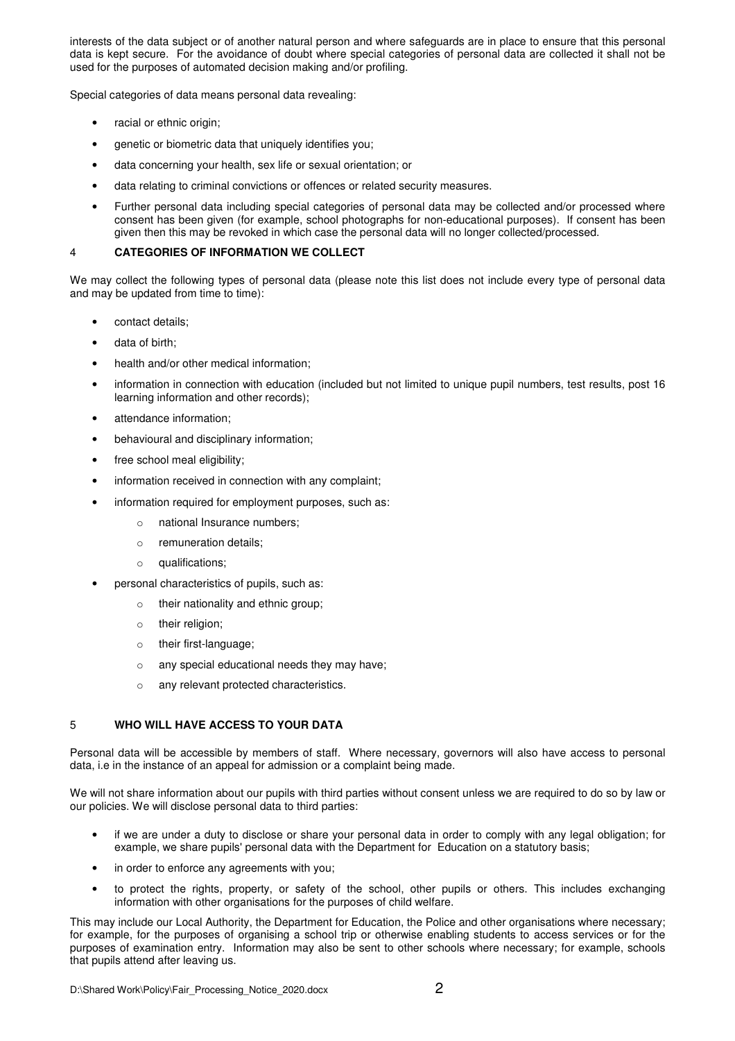interests of the data subject or of another natural person and where safeguards are in place to ensure that this personal data is kept secure. For the avoidance of doubt where special categories of personal data are collected it shall not be used for the purposes of automated decision making and/or profiling.

Special categories of data means personal data revealing:

- racial or ethnic origin;
- genetic or biometric data that uniquely identifies you;
- data concerning your health, sex life or sexual orientation; or
- data relating to criminal convictions or offences or related security measures.
- Further personal data including special categories of personal data may be collected and/or processed where consent has been given (for example, school photographs for non-educational purposes). If consent has been given then this may be revoked in which case the personal data will no longer collected/processed.

# 4 **CATEGORIES OF INFORMATION WE COLLECT**

We may collect the following types of personal data (please note this list does not include every type of personal data and may be updated from time to time):

- contact details;
- data of birth;
- health and/or other medical information:
- information in connection with education (included but not limited to unique pupil numbers, test results, post 16 learning information and other records);
- attendance information:
- behavioural and disciplinary information;
- free school meal eligibility;
- information received in connection with any complaint;
- information required for employment purposes, such as:
	- o national Insurance numbers;
	- o remuneration details;
	- o qualifications;
- personal characteristics of pupils, such as:
	- o their nationality and ethnic group;
	- o their religion;
	- o their first-language;
	- o any special educational needs they may have;
	- o any relevant protected characteristics.

## 5 **WHO WILL HAVE ACCESS TO YOUR DATA**

Personal data will be accessible by members of staff. Where necessary, governors will also have access to personal data, i.e in the instance of an appeal for admission or a complaint being made.

We will not share information about our pupils with third parties without consent unless we are required to do so by law or our policies. We will disclose personal data to third parties:

- if we are under a duty to disclose or share your personal data in order to comply with any legal obligation; for example, we share pupils' personal data with the Department for Education on a statutory basis;
- in order to enforce any agreements with you;
- to protect the rights, property, or safety of the school, other pupils or others. This includes exchanging information with other organisations for the purposes of child welfare.

This may include our Local Authority, the Department for Education, the Police and other organisations where necessary; for example, for the purposes of organising a school trip or otherwise enabling students to access services or for the purposes of examination entry. Information may also be sent to other schools where necessary; for example, schools that pupils attend after leaving us.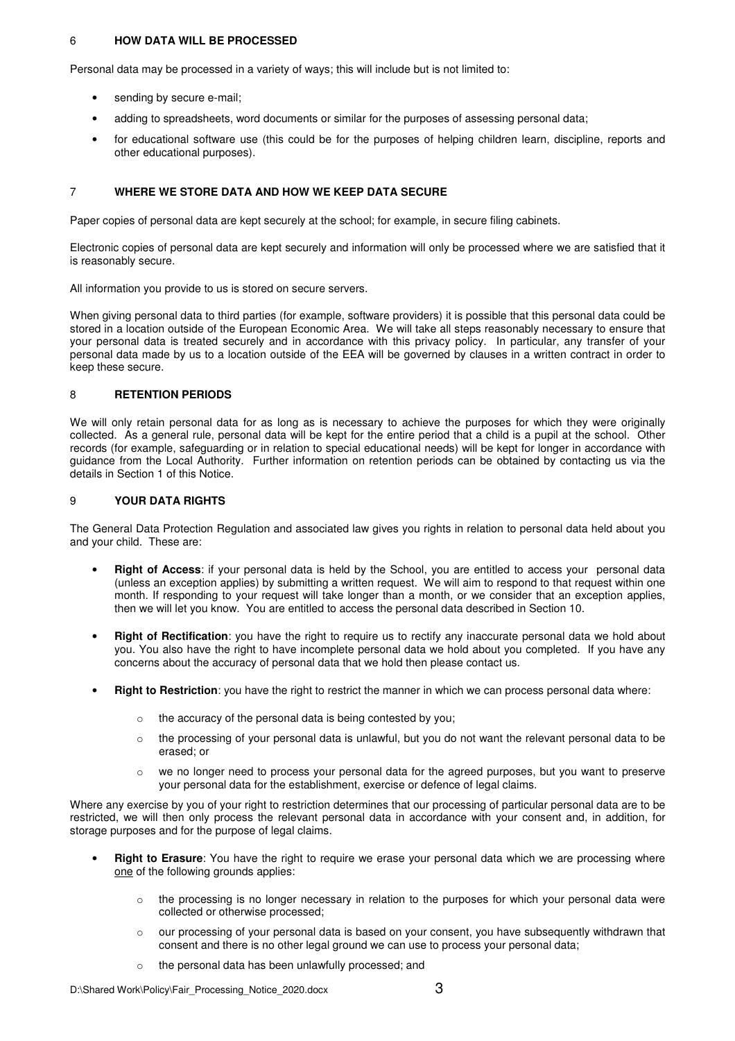# 6 **HOW DATA WILL BE PROCESSED**

Personal data may be processed in a variety of ways; this will include but is not limited to:

- sending by secure e-mail;
- adding to spreadsheets, word documents or similar for the purposes of assessing personal data;
- for educational software use (this could be for the purposes of helping children learn, discipline, reports and other educational purposes).

### 7 **WHERE WE STORE DATA AND HOW WE KEEP DATA SECURE**

Paper copies of personal data are kept securely at the school; for example, in secure filing cabinets.

Electronic copies of personal data are kept securely and information will only be processed where we are satisfied that it is reasonably secure.

All information you provide to us is stored on secure servers.

When giving personal data to third parties (for example, software providers) it is possible that this personal data could be stored in a location outside of the European Economic Area. We will take all steps reasonably necessary to ensure that your personal data is treated securely and in accordance with this privacy policy. In particular, any transfer of your personal data made by us to a location outside of the EEA will be governed by clauses in a written contract in order to keep these secure.

#### 8 **RETENTION PERIODS**

We will only retain personal data for as long as is necessary to achieve the purposes for which they were originally collected. As a general rule, personal data will be kept for the entire period that a child is a pupil at the school. Other records (for example, safeguarding or in relation to special educational needs) will be kept for longer in accordance with guidance from the Local Authority. Further information on retention periods can be obtained by contacting us via the details in Section 1 of this Notice.

### 9 **YOUR DATA RIGHTS**

The General Data Protection Regulation and associated law gives you rights in relation to personal data held about you and your child. These are:

- **Right of Access**: if your personal data is held by the School, you are entitled to access your personal data (unless an exception applies) by submitting a written request. We will aim to respond to that request within one month. If responding to your request will take longer than a month, or we consider that an exception applies, then we will let you know. You are entitled to access the personal data described in Section 10.
- **Right of Rectification**: you have the right to require us to rectify any inaccurate personal data we hold about you. You also have the right to have incomplete personal data we hold about you completed. If you have any concerns about the accuracy of personal data that we hold then please contact us.
- **Right to Restriction**: you have the right to restrict the manner in which we can process personal data where:
	- o the accuracy of the personal data is being contested by you;
	- $\circ$  the processing of your personal data is unlawful, but you do not want the relevant personal data to be erased; or
	- o we no longer need to process your personal data for the agreed purposes, but you want to preserve your personal data for the establishment, exercise or defence of legal claims.

Where any exercise by you of your right to restriction determines that our processing of particular personal data are to be restricted, we will then only process the relevant personal data in accordance with your consent and, in addition, for storage purposes and for the purpose of legal claims.

- **Right to Erasure**: You have the right to require we erase your personal data which we are processing where one of the following grounds applies:
	- $\circ$  the processing is no longer necessary in relation to the purposes for which your personal data were collected or otherwise processed;
	- o our processing of your personal data is based on your consent, you have subsequently withdrawn that consent and there is no other legal ground we can use to process your personal data;
	- o the personal data has been unlawfully processed; and